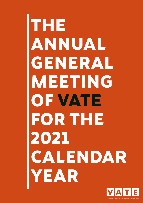# **THE ANNUAL GENERAL MEETING OF VATE FOR THE 2021 CALENDAR YEAR**

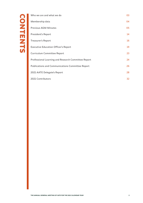| Who we are and what we do                               | 03 |
|---------------------------------------------------------|----|
| Membership data                                         | 04 |
| <b>Previous AGM Minutes</b>                             | 05 |
| <b>President's Report</b>                               | 14 |
| <b>Treasurer's Report</b>                               | 16 |
| <b>Executive Education Officer's Report</b>             | 19 |
| <b>Curriculum Committee Report</b>                      | 23 |
| Professional Learning and Research Committee Report     | 24 |
| <b>Publications and Communications Committee Report</b> | 26 |
| 2021 AATE Delegate's Report                             | 28 |
| 2021 Contributors                                       | 32 |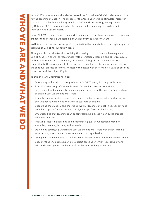<span id="page-2-0"></span>In July 1959 an experimental initiative marked the formation of the Victorian Association for the Teaching of English. The purpose of the Association was to 'stimulate interest in the teaching of English and background studies' and three meetings were planned. By October 1960 the Association had become established enough to hold its first AGM and it had 160 members.

Since 1960 VATE has gone on to support its members as they have coped with the various changes to the teaching and learning of English over the last sixty years.

VATE is an independent, not-for-profit organisation that aims to foster the highest quality teaching of English throughout Victoria.

Through professional networks, involving the sharing of narratives and learning about English teaching, as well as research, journals, professional learning, and other resources, VATE strives to nurture a community of teachers of English and teacher educators committed to the advancement of the profession. VATE exists to support its members in the continual process of renewal necessary to engage with the dynamic nature of both the profession and the subject English.

To this end, VATE commits itself to:

- **–** Developing and providing strong advocacy for VATE policy in a range of forums;
- **–** Providing effective professional learning for teachers to ensure continued development and implementation of exemplary practice in the learning and teaching of English at state and national levels;
- **–** Promoting opportunities through networks to foster critical, creative and reflective thinking about what we do and know as teachers of English;
- **–** Supporting the practical and theoretical work of teachers of English, recognising and providing support for educators in this dynamic professional landscape;
- **–** Understanding that teaching is an ongoing learning process which builds through reflective practice;
- **–** Initiating research, publishing and disseminating quality publications based on exemplary teaching, learning and research;
- **–** Developing strategic partnerships at state and national levels with other teaching associations, bureaucracies, statutory bodies and organisations;
- **–** Giving practical recognition to the fundamental importance of English in the curriculum;
- **–** Ensuring that VATE remains a viable subject association which is responsibly and efficiently managed for the benefit of the English teaching profession.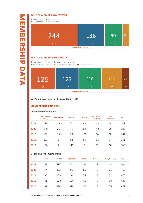# <span id="page-3-0"></span>**SCHOOL MEMBERS BY SECTOR** Government Independent Catholic Not applicable 244 48% 136 27% 90 18% **504 MEMBERSHIPS**

# **SCHOOL MEMBERS BY REGION**



**English in Australia hard copies (sold) – 80**

# **MEMBERSHIP 2017-2021**

### **Individual membership**

|      | <b>Pre-service</b><br>(free) | <b>Pre-service</b> | 1-year | 2-year   | <b>CRT-Alumni-</b><br>Part-time | Life<br><b>Members</b> | <b>Total</b> |
|------|------------------------------|--------------------|--------|----------|---------------------------------|------------------------|--------------|
| 2021 | 198                          | 23                 | 71     | 84       | 48                              | 18                     | 442          |
| 2020 | 140                          | 20                 | 71     | 84       | 48                              | 19                     | 382          |
| 2019 | 195                          | 19                 | 76     | 120      | 34                              | 18                     | 462          |
| 2018 | 133                          | 8                  | 52     | 85       | 56                              | 17                     | 351          |
| 2017 | 150                          |                    | 140    | $\Omega$ | 73                              | 16                     | 386          |

### **Organisational membership**

|      | $0 - 350$ | 351-900 | 901-1200 | 1200+ | Non-school | Complimentary | <b>Total</b> |
|------|-----------|---------|----------|-------|------------|---------------|--------------|
| 2021 | 83        | 197     | 101      | 92    |            | 24            | 504          |
| 2020 | 77        | 182     | 95       | 89    | 3          | 21            | 467          |
| 2019 | 96        | 189     | 91       | 75    | 3          | 21            | 475          |
| 2018 | 91        | 203     | 106      | 61    |            | 20            | 488          |
| 2017 | 92        | 194     | 116      | 55    | 5          | 15            | 477          |

34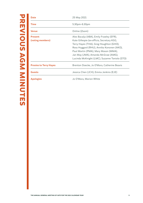<span id="page-4-0"></span>

| <b>Date</b>                   | 25 May 2021                                   |
|-------------------------------|-----------------------------------------------|
| <b>Time</b>                   | $5.30pm - 6.30pm$                             |
| <b>Venue</b>                  | Online (Zoom)                                 |
| <b>Present</b>                | Alex Bacalja (ABA), Emily Frawley (EFR),      |
| (voting members)              | Kate Gillespie (ex-officio, Secretary KGI),   |
|                               | Terry Hayes (THA), Greg Houghton (GHO),       |
|                               | Ross Huggard (RHU), Annika Kononen (AKO),     |
|                               | Paul Martin (PMA), Mary Mason (MMA),          |
|                               | Jan May (JMA), Amanda McGraw (AMG),           |
|                               | Lucinda McKnight (LMC), Suzanne Toniolo (STO) |
| <b>Proxies to Terry Hayes</b> | Brenton Doecke, Jo O'Mara, Catherine Beavis   |
| <b>Guests</b>                 | Jessica Chen (JCH), Emma Jenkins (EJE)        |
| <b>Apologies</b>              | Jo O'Mara, Marion White                       |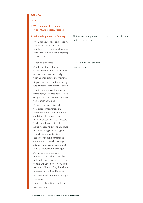# **AGENDA**

#### **Item**

# **1 Welcome and Attendance: Present, Apologies, Proxies**

#### **2 Acknowledgement of Country:**

VATE acknowledges and respects the Ancestors, Elders and families of the traditional owners of the land on which this meeting takes place.

#### Meeting processes

Additional items of business cannot be considered at the AGM unless these have been lodged with Council before the meeting. Reports are tabled at the meeting

and a vote for acceptance is taken. The Chairperson of the meeting (President/Vice President) is not obliged to accept amendments to the reports as tabled.

Please note: VATE is unable to disclose information on issues where VATE is bound by confidentiality provisions. If VATE discusses these matters, it will be in breach of such agreements and potentially liable for adverse legal claims against it. VATE is unable to discuss issues concerning confidential communications with its legal advisors and, as such, is subject to legal professional privilege.

At the conclusion of each presentation, a Motion will be put to the meeting to accept the report and voted on. This will be by show of hands. Only Individual members are entitled to vote All questions/comments through the chair.

Quorum is 12 voting members.

No questions.

# EFR: Acknowledgement of various traditional lands that we come from.

# EFR: Asked for questions. No questions.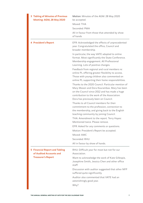| 3 Tabling of Minutes of Previous<br>Meeting: AGM, 28 May 2020    | Motion: Minutes of the AGM: 28 May 2020<br>be accepted.<br>Moved: THA<br>Seconded: PMA<br>All in favour from those that attended by show<br>of hands                                                                                       |
|------------------------------------------------------------------|--------------------------------------------------------------------------------------------------------------------------------------------------------------------------------------------------------------------------------------------|
| <b>4 President's Report</b>                                      | EFR: Acknowledged the effects of unprecedented<br>year. Congratulated the office, Council and<br>broader membership.                                                                                                                       |
|                                                                  | In particular, the way VATE adapted to online<br>format. Most significantly the State Conference.<br>Membership engagement. All Professional<br>Learning. Lots of positive changes.                                                        |
|                                                                  | Feedback from regional and rural members re:<br>online PL offering greater flexibility to access.<br>Those with young children also commented on<br>online PL supporting their home responsibilities.                                      |
|                                                                  | Thanks to the 2020 Council. Particular mention of<br>Mary Mason and Dora Kourambas. Mary has been<br>on the Council since 2012 and has made a huge<br>contribution to the work of the Association.<br>Dora has previously been on Council. |
|                                                                  | Thanks to all Council members for their<br>commitment to the profession, connection to<br>the membership, and giving back to the English<br>teaching community by joining Council.<br>THA: Amendment to the report. Terry Hayes:           |
|                                                                  | Mentioned twice. Please remove.                                                                                                                                                                                                            |
|                                                                  | EFR: Asked for any comments or questions.                                                                                                                                                                                                  |
|                                                                  | Motion: President's Report be accepted.                                                                                                                                                                                                    |
|                                                                  | Moved: AMC                                                                                                                                                                                                                                 |
|                                                                  | Seconded: RHU<br>All in favour by show of hands.                                                                                                                                                                                           |
| <b>5 Financial Report and Tabling</b><br>of Audited Accounts and | RHU: Difficult year for most but not for our<br>Association.                                                                                                                                                                               |
| <b>Treasurer's Report</b>                                        | Want to acknowledge the work of Kate Gillespie,<br>Josephine Smith, Jessica Chen and other office<br>staff.                                                                                                                                |
|                                                                  | Discussion with auditor suggested that other NFP<br>suffered quite significantly.                                                                                                                                                          |
|                                                                  | Auditor also commented that VATE had an<br>astonishingly good year.<br>Why?                                                                                                                                                                |
|                                                                  |                                                                                                                                                                                                                                            |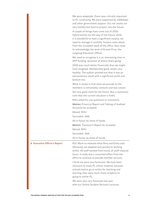|                                     | We were adaptable. Zoom was critically important<br>to PL continuing. We were supported by JobKeeper<br>and other government support. Our net assets are<br>very healthy but hard to project into the future.<br>A couple of things have come out of 2020:                                 |
|-------------------------------------|--------------------------------------------------------------------------------------------------------------------------------------------------------------------------------------------------------------------------------------------------------------------------------------------|
|                                     | hybrid events are the way of the future; while<br>it is wonderful to have a significant surplus, we<br>need to manage it carefully. Surplus came about<br>from the incredible work of the office. Also need<br>to acknowledge the work of Ernest Price, the<br>outgoing Education Officer. |
|                                     | We need to recognise it is an interesting time re:<br>SPP funding. Question of where that's going.                                                                                                                                                                                         |
|                                     | 2020 was much better financially than we might<br>have imagined. Membership good, assets very<br>healthy. The auditor pointed out that it was an<br>extraordinary result with a significant profit and<br>bottom line.                                                                     |
|                                     | What it shows is that what we provide to the<br>members is remarkably constant and was valued.                                                                                                                                                                                             |
|                                     | Set very good roots for the future. But a cautionary<br>note that the current situation is fickle.                                                                                                                                                                                         |
|                                     | RHU asked for any questions or comments.                                                                                                                                                                                                                                                   |
|                                     | Motion: Financial Report and Tabling of Audited<br>Accounts be accepted                                                                                                                                                                                                                    |
|                                     | Moved: RHU                                                                                                                                                                                                                                                                                 |
|                                     | Seconded: JMA                                                                                                                                                                                                                                                                              |
|                                     | All in favour by show of hands.                                                                                                                                                                                                                                                            |
|                                     | Motion: Treasurer's Report be accepted                                                                                                                                                                                                                                                     |
|                                     | Moved: RHU                                                                                                                                                                                                                                                                                 |
|                                     | Seconded: JMA                                                                                                                                                                                                                                                                              |
|                                     | All in favour by show of hands.                                                                                                                                                                                                                                                            |
| <b>6 Executive Officer's Report</b> | KGI: Want to reiterate what Ross and Emily said.<br>Obviously, we adapted very quickly to working<br>online. All staff worked from home, all staff reduced<br>hours. It really was a concerted effort from the<br>office to continue to provide member services.                           |
|                                     | I think we were very fortunate. We have been<br>reluctant to move PL online, however, because<br>schools had to go to online for teaching and<br>learning, they were much more receptive to<br>going to online PL.                                                                         |
|                                     | We were also very fortunate last year<br>with our Online Student Revision Lectures.                                                                                                                                                                                                        |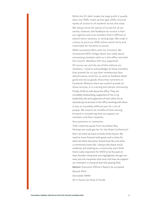While the SC didn't make the large profit it usually does, the OSRL made up that gap. OSRL ensured equity of access to all students across the state.

We always strive for equity of access for all our events, however, the feedback we receive is that our regional and rural members find it difficult to attend metro sessions, or send groups. We made it a focus to price our 2020 online events fairly and reasonably for faculties to access.

2020 concerted effort with our eComms. We introduced VATE Village which was really about connecting members with us in the office and with the Council. Members felt very supported.

Of course, we can't do any of this without our members. I need to acknowledge all those members that present for us, pay their membership fees, attend events, write for us, send us feedback (both good and not so good), those that comment on Facebook. Without them we couldn't provide all these services. It is a strong and vibrant community.

Finally, I'd like to talk about the office. They are incredibly hardworking, supportive of me in my leadership role and supportive of each other. It's an absolute joy to be back in the office working with them.

It was an incredibly difficult year for a lot of people. We need to be mindful of that moving forward in considering how we support our members and their students.

Any questions or comments.

THA: Liked the quote from Arundhati Roy. Perhaps we could get her for the State Conference?

KGI: I do think we have to think of the future. We need to move forward with gusto and a vision for what we think education should look like and what a community looks like. I always talk about social solidarity and working as a community and I think that's really important for VATE to be focused on that. Another thing that was highlighted, though not new, was the inequities that exist and how we support our members in trying to level the playing field.

Motion: Executive Officer's Report be accepted

Moved: RHU

Seconded: MMA

All in favour by show of hands.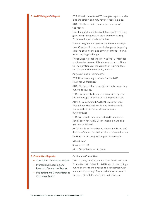**7 AATE Delegate's Report** EFR: We will move to AATE delegate report as Alex is at the airport and may have to board a plane.

> ABA: The three main themes to come out of the report.

One: Financial stability. AATE has benefitted from government support and staff member retiring. Both have helped the bottom line.

Second: English in Australia and how we manage that. Clearly still has some challenges with getting editions out on time and getting content. This will be an ongoing challenge.

Third: Ongoing challenge re: National Conference and how the relevant ETA choose to run it. There will be questions re: the viability of running faceto-face given the uncertainty we face.

Any questions or comments?

EFR: How many registrations for the 2021 National Conference?

ABA: We haven't had a meeting in quite some time but will follow up.

THA: List of invited speakers makes it very clear the advantages of online. It's an impressive list.

ABA: It is a combined AATE/ALEA conference. Would hope that this continues for the smaller states and territories as allows for more buying power.

THA: We should mention that VATE nominated Ray Misson for AATE Life membership and this has been accepted.

ABA: Thanks to Terry Hayes, Catherine Beavis and Susanne Gannon for their work on this nomination.

Motion: AATE Delegate's Report be accepted

Moved: ABA

Seconded: THA

All in favour by show of hands.

#### **8 Committee Reports:**

#### Curriculum Committee

- **–** Curriculum Committee Report
- **–** Professional Learning and Research Committee Report
- **–** Publications and Communications Committee Report

THA: It's very brief, as you can see. The Curriculum Committee laid fallow for 2020. We did two things but neither of them involved the connection with membership through forums which we've done in the past. We will be rectifying that this year.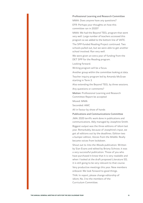#### Professional Learning and Research Committee

MMA: Does anyone have any questions? EFR: Perhaps your thoughts on how this committee ran in 2020?

MMA: We had the Beyond TEEL program that went very well. Large number of teachers accessed this program so we added to the bottom line of VATE.

The SPP-funded Reading Project continued. Two schools pulled out, but we were able to get another school involved. Ran very well.

We were given an extra year of funding from the DET SPP for the Reading program.

Looking forward.

Writing program will be a focus.

Another group within the committee looking at data. Teacher inquiry program led by Amanda McGraw

starting in Term 3.

Also extending the Beyond TEEL by three sessions. Any questions or comments?

Motion: Professional Learning and Research Committee Report be accepted

Moved: MMA

Seconded: AMC

All in favour by show of hands

# Publications and Communications Committee

JMA: 2020 terrific work done in publications and communications. Ably managed by Josephine Smith.

Biggest output was the three editions of Idiom last year. Remarkably, because of Josephine's input, we got all editions out by the deadlines. Edition two a bumper edition, Voices from the Middle. Really became voices from lockdown.

Shout out to Into the Woods publication. Written by Sian Evans and edited by Briony Schroor, it was a very successful publication. Those of you who have purchased it know that it is very readable and when I looked at the draft proposed Literature SD, it is still going to be very relevant to that course. Very productive meetings this year. New members onboard. We look forward to good things.

THA: In report, please change editorship of Idiom, No. 3 to the members of the Curriculum Committee.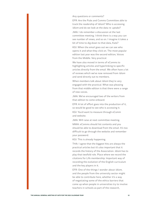Any questions or comments?

EFR: Are the Pubs and Comms Committee able to track the readership of Idiom? Who is accessing Idiom and do we look at the data re: uptake?

JMA: I do remember a discussion at the last committee meeting. I think there is a way you can see number of views, and so on. I imagine it takes a bit of time to dig down to that data, Kate?

KGI: When the email goes out we can see who opens it and what they click on. The most popular edition last year was the second edition, Voices from the Middle. Very practical.

We have also moved in terms of eComms to highlighting articles and hyperlinking to specific articles directly from the email. We often have a lot of reviews which we've now removed from Idiom and send directly out to members.

When members talk about *Idiom* they're very engaged with the practical. What was pleasing from that middle edition is that there were a range of new voices.

JMA: We've encouraged two of the writers from that edition to come onboard.

EFR: A lot of effort goes into the production of it, so would be good to see who is accessing it.

KGI: You'd want to measure through eComm and website.

JMA: Will raise at next committee meeting. MMA: eComms should list contents and you should be able to download from the email. It's too difficult to go through the website and remember

KGI: This is already happening.

your password.

THA: I agree that the biggest hits are always the practical articles but it's also important that it records the history of the Association. Idiom has to play that twofold role. Place where we record the citations for Life membership. Important way of recording the evolution of the English curriculum and the key players in it.

EFR: One of the things I wonder about Idiom, and the people from the university sector might be able to contribute here, whether it's a way of negotiating some of the ethics barriers that come up when people in universities try to involve teachers in schools as part of the research,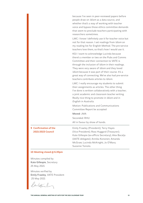because I've seen in peer-reviewed papers before people draw on Idiom as a data source, and whether that's a way of working with teacher voice and bypass those ethics committee demands that seem to preclude teachers participating with researchers sometimes.

LMC: I know I definitely use it for teacher voice but not for that reason. I set readings from Idiom on my reading list for English Method. The pre-service teachers love them, so that's how I would use it.

KGI: I want to acknowledge Lucinda because there's a member or two on the Pubs and Comms Committee and their connection to VATE is through the inclusion of *Idiom* in their readings. They were very aware of Idiom and they loved Idiom because it was part of their course. It's a great way of connecting. We've also had pre-service teachers contribute articles to Idiom.

LMC: I really encourage my students to submit their assignments as articles. The other thing I've done is written collaboratively with a teacher; a joint academic and classroom teacher writing. Really nice thing to promote in Idiom and in English in Australia.

Motion: Publications and Communications Committee Report be accepted

Moved: JMA Seconded: RHU

All in favour by show of hands.

Emily Frawley (President); Terry Hayes (Vice President); Ross Huggard (Treasurer); Kate Gillespie (ex-officio Secretary); Alex Bacalja (AATE delegate); Annika Kononen; Amanda McGraw; Lucinda McKnight; Jo O'Mara; Suzanne Toniolo.

### **10 Meeting closed @ 6.30pm**

Minutes compiled by Kate Gillespie, Secretary 25 May 2021

**9 Confirmation of the 2021-2023 Council**

Minutes verified by Emily Frawley, VATE President 25 May 2021

Caribighales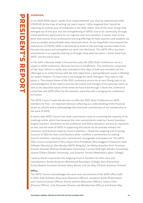# <span id="page-13-0"></span>**OVERVIEW**

In my 2020 AGM report I spoke of an 'unprecedented' year that we experienced under COVID-19. At the time of writing last year's report, I little imagined that I would be reporting on another year of lockdowns in the 2021 report. One of the silver linings that emerged out of this year was the strengthening of VATE's ties to its community through online platforms, particularly for our regional and rural members. It seems clear at this point that several of our professional learning offerings for both teachers and students are more accessible and profitable when delivered online. As we (hopefully) move beyond the restrictions of COVID, VATE is well placed to build on the learnings we have taken from the past two years and strengthen our work into the future. The VATE office has been instrumental in so expertly steering us through these past two years. I thank 'Kate from VATE' and the entire team.

In line with a decision made in the previous year, the 2021 State Conference ran as a sequel to 2020 conference, 'Because Survival is Insufficient'. The conference comprised of two 'days' (which in reality was extended to four days of both pre-recorded and live offerings) in an online format with the title taken from a Samuel Beckett quote in Waiting for Godot: Vladimir: To have lived is not enough for them. Estragon: They have to talk about it. The chosen theme of the 2021 conference struck me as very fitting, both in its acknowledgment of the need to process the events and changes of the past two years, as well as the absurdist nature of the times we have lived through. I thank the conference committee and VATE office for the fantastic work they did in bringing this conference to fruition.

The VATE Council made the decision to offer the 2021 State Conference to VATE members for free – an important decision reflecting our understanding of the financial strain on schools and to acknowledge the continued commitment of our membership to the work of VATE.

It seems that VATE Council has made a permanent move to convening the majority of its meetings online, which has lessened the time commitments made by Council members. English teachers' connection to the profession and fellow educators remains as important as ever, and the work of VATE in supporting this would not be possible without the voluntary contributions made by Council members. I thank the outgoing and incoming Councils of 2021 for their contributions while I reaffirm a commitment to making Council members' voluntary time commitment manageable and productive. The VATE 2021 Council comprised of Terry Hayes (Vice President), Ross Huggard (Treasurer), Kate Gillespie (Secretary), Alex Bacalja (AATE delegate), Jan Bailey (Ivanhoe Girls' Grammar School), Amanda McGraw (Federation University), Lucinda McKnight (Deakin University), Joanne O'Mara (Deakin University), and Suzanne Toniolo (Methodist Ladies' College).

I wish to thank in particular the outgoing Council members for their time and contributions: Annika Konenon (Brentwood Secondary College), Dora Kourambas (Carey Baptist Grammar School), Mary Mason, and Jan May (Firbank Grammar School).

#### **Office**

The VATE Council acknowledges the work and commitment of the VATE office staff in 2021: Kate Gillespie (Executive Education Officer), Josephine Smith (Publications and Communications Officer), Emma Jenkins (Education Officer), Jessica Chen (Finance Officer), Julie Diamente (Events and Membership Officer), and Kieran May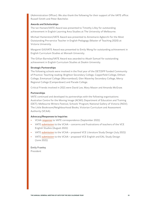(Administration Officer). We also thank the following for their support of the VATE office: Russell Smith and Peter Batchelor.

#### **Awards and Scholarships**

The Ian Hansen/VATE Award was presented to Timothy Lilley for outstanding achievement in English Learning Area Studies at The University of Melbourne.

Michael Hamerston/VATE Award was presented to Annemarie Agborchi for the Most Outstanding Pre-service Teacher in English Pedagogy (Master of Teaching 2020) at Victoria University.

Margaret Gill/VATE Award was presented to Emily Wong for outstanding achievement in English Curriculum Studies at Monash University.

The Gillian Barnsley/VATE Award was awarded to Akash Samuel for outstanding achievement in English Curriculum Studies at Deakin University.

#### **Strategic Partnerships**

The following schools were involved in the final year of the DET/SPP funded Community of Practice: Teaching reading: Brighton Secondary College, Copperfield College, Eltham College, Emmanuel College (Warrnambool), Glen Waverley Secondary College, Mercy Regional College (Camperdown) and Parade College.

Critical Friends involved in 2021 were David Lee, Mary Mason and Amanda McGraw.

#### **Partnerships**

VATE continued and developed its partnerships with the following organisations: Australian Centre for the Moving Image (ACMI); Department of Education and Training (DET); Melbourne Writers Festival, Schools' Program; National Gallery of Victoria (NGV); The Little Bookroom/Neighbourhood Books; Victorian Curriculum and Assessment Authority (VCAA).

# **Advocacy/Responses to Inquiries**

- **–** VCAA [response](https://www.vate.org.au/file/4050/download?token=qajSgPPS) to VATE correspondence (September 2021)
- **–** VATE [submission](https://www.vate.org.au/file/4049/download?token=rpKaOOR4) to the VCAA concerns and frustrations of teachers of the VCE English Studies (August 2021)
- **–** VATE [submission](https://www.vate.org.au/file/3821/download?token=jCSwcge_) to the VCAA proposed VCE Literature Study Design (July 2021)
- **–** VATE [submission](https://www.vate.org.au/file/3820/download?token=pGFZ4T44) to the VCAA proposed VCE English and EAL Study Design (June 2021)

Emily Frawley President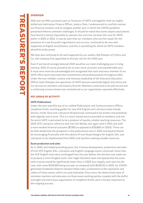# <span id="page-15-0"></span>**OVERVIEW**

2021 was my fifth successive year as Treasurer of VATE and together with our highlyskilled and meticulous Finance Officer, Jessica Chen, I endeavoured to carefully oversee our financial situation and to navigate another year in which the COVID pandemic presented hitherto unknown challenges. It should be noted that some subject associations have found it almost impossible to operate, but such has not been the case for VATE, either in 2020 or 2021. It may be seen that our members, who are the reason for the existence of a not-for-profit organisation such as ours, continued to be very wellsupported as English practitioners, and this is something for which all VATE members should be justly proud.

We have also continued to be well-supported by our auditor, Ryk Eksteen of Collins and Co., the company first appointed to this key role for the 2020 year.

Even if we had all wrongly believed 2020 would be our most challenging year in living memory, 2021 of course proved to be an even more uncertain and unpredictable year. It must once more be acknowledged and recognised that each and every member of our VATE office team exercised total commitment and professionalism throughout 2021. Under the ever-reliable, creative and visionary leadership of the Executive Education Officer, Kate Gillespie, the operations of VATE became essentially digital and online and our services to members continued to flourish. Members continued to be well-served and a continuing income stream was received and so our organisation operated effectively.

# **KEY AREAS OF ACTIVITY**

# **VATE Publications**

Under the ever-watchful eye of our skilled Publications and Communications Officer, Josephine Smith, teaching guides for new VCE English and Literature texts (Inside Stories, Inside Texts and Literature Perspectives) continued to be written and published, both digitally and in print. This is a much-valued service provided to members, and one for which VATE is perceived to be a producer of quality, reliable teaching resources. The 2020 VCE Literature reference text Into the Woods, was again sold in 2021, but with a more modest financial outcome (\$7,693 as opposed to \$33,660 on 2020). There can be little doubt that the prospects in this publications area in 2022 and beyond should be encouraging financially with the advent of new Study Designs for English, EAL and Literature to be implemented from 2023, and teachers seeking suitable resources.

# **Exam production and sales**

As in 2020, and indeed preceding years, the in-house development, production and sales of trial VCE English, EAL, Literature and English Language exams continued. Given that the VCE English texts were unchanged from the year before, the decision was made not to produce a Unit 3 English exam. One might therefore have anticipated that the exam sales revenue would be significantly lower than in 2020, but, happily, such was not the case, with some \$103,656 being accrued, as compared with \$106,712 in 2020. So, COVIDgenerated lockdowns failed to dampen these sales, a testament to the reputation and calibre of these exams, which are used statewide. Once more, the determined input of volunteer teachers and educators on these exam working parties, coupled with the skilful oversight and meticulous organisation of Josephine Smith, were critically important to this ongoing success.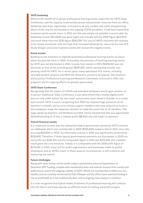# **VATE bookshop**

Without the benefit of in-person professional learning events, especially the VATE State Conference, and the capacity to personally peruse and purchase resources from our office, bookshop sales have, regrettably, continued to be very modest and rather disappointing. Much of this may be attributable to the ongoing COVID pandemic. It had been hoped that in-person events would return in 2021, but this was simply not possible or practicable. So, bookshop income (\$12,000) was quite slight and virtually half the 2020 figure (\$23,052) and much lower than the 2019 figure (\$56,239) This area of VATE's business will continue to be closely monitored, with the hope that increased demands for resources for new VCE Study Designs and some in-person events will reverse this negative trend.

#### **Event income**

Building on the transition to digitally-presented professional learning events via Zoom, which became the norm in 2020, fortunately, the provision of teaching learning events by VATE was not diminished in 2021. Income from events in 2021 (\$429,422) was not dissimilar to that of the preceding year (\$447,167), which represented another very pleasing result for VATE. As in recent years, many specialised VCE events, including recorded student sessions and Meet the Assessors, proved to be popular. The inventive and proactive Professional Learning and Research Committee continued to offer new programs and its ongoing efforts are greatly appreciated.

#### **VATE State Conference**

Recognising that the impact of COVID and extended lockdowns would again prevent an in-person 'traditional' State Conference, it was determined that a totally digital event was our only viable option. So, this major annual event went ahead in October in a scaledback version. VATE Council, recognising that 2021 has imposed huge pressures on all teachers in schools, and so as to actively support members who have endured so much in the lockdowns, made the important decision to make the event free to all members. The large uptake by teachers, and feedback provided, clearly showed that this was appreciated. Notwithstanding all of this, a modest profit (\$8,932) was still made via sponsors.

#### **Overall financial results**

It is important to note that the substantial federal government assistance VATE received via JobKeeper, which was considerable in 2020 (\$291,400) ended in March 2021, thus only accruing \$30,000 to VATE. So, effectively revenue in 2020 was significantly bolstered by \$291,400. Therefore, if these special governmental payments are discounted, in 2020 our real profit was \$182,351 and the comparable figure in 2021 was \$133,545, still a healthy result given the circumstances. Indeed, it is comparable with the 2018 profit figure of \$131,034. In 2021, many not-for-profit organisations and businesses made no profits whatsoever and so VATE's result, in these atypical circumstances, is still a positive and reassuring one overall.

#### **Future challenges**

Along with other similar not-for-profit subject associations, external Department of Education SPP funding, coupled with membership dues and revenue streams from events and publications, ensure the ongoing viability of VATE. Whilst our membership numbers are very healthy and are carefully monitored by Kate Gillespie and the office team, external funding is not as predictable as it has traditionally been and so ongoing close analysis is essential.

It is now recognised that hybrid modes of delivery of professional learning will continue into the future and these operate on different levels of costing and profit-margins.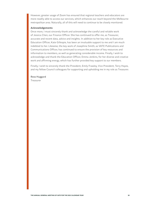However, greater usage of Zoom has ensured that regional teachers and educators are more readily able to access our services, which enhances our reach beyond the Melbourne metropolitan area. Naturally, all of this will need to continue to be closely monitored.

# **Acknowledgements**

Once more, I must sincerely thank and acknowledge the careful and reliable work of Jessica Chen, our Finance Officer. She has continued to offer me, as Treasurer, accurate and recent data, advice and insights. In addition to her key role as Executive Education Officer, Kate Gillespie, has been an invaluable support to me and I am much indebted to her. Likewise, the key work of Josephine Smith, as VATE Publications and Communications Officer, has continued to ensure the provision of key resources and information to members, as well as generating considerable income. Finally, I wish to acknowledge and thank the Education Officer, Emma Jenkins, for her diverse and creative work and affirming energy, which has further provided key support to our members.

Finally, I wish to sincerely thank the President, Emily Frawley, Vice President, Terry Hayes, and my fellow Council colleagues for supporting and upholding me in my role as Treasurer.

Ross Huggard Treasurer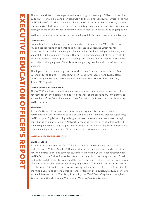<span id="page-18-0"></span>The tectonic shifts that we experienced in teaching and learning in 2020 continued into 2021. Our lives would expand then contract with the rolling lockdowns. I wrote in the final VATE Village of 2021 that I despaired about the tribalism, anti-science rhetoric, and the continued rise of 'alternative facts' that seemed to pervade our daily (uncivil) discourse. A strong foundation and anchor in community was essential to navigate the ongoing tumult.

VATE is an important place of connection and I have felt this acutely over the last two years.

# **VATE office**

I would first like to acknowledge the work and commitment of the VATE office team. My endless appreciation and thanks to my colleagues: Josephine Smith for her professionalism, intellect and support; Emma Jenkins for her intelligence, humour, and adaptability; Julie Diamente for being thorough in her management of the range of PL offerings; Jessica Chen for providing a strong fiscal foundation to support VATE's work in another challenging year; Kieran May for supporting members with consideration and care.

Thank you to all those who support the work of the office and the association: Peter Batchelor, for all things IT; Russell Smith, VATE's external accountant; Kushla Ross, VATE's designer; Hoc Lie, VATE's website developer; Sean, the VATE cleaner; and, Jason, VATE's postie.

# **VATE Council and committees**

The VATE Council and committee members volunteer their time and expertise to discuss, advocate for the membership, and develop the work of the association. I am grateful to all members of the Council and committees for their commitment and contributions to VATE's purpose.

# **Members**

To the 7500+ members, many thanks for supporting your students and school communities in what continued to be a challenging time. Thank you also for supporting VATE and your English teaching colleagues across the state – whether it was through contributing to a discussion on a Network, presenting for the range of online VATE PL, submitting questions and passages for our sample exams, purchasing one of our products, or just emailing us in the office. We are a strong and vibrant community.

# **VATE ACHIEVEMENTS IN 2021**

# **YA Book Stack**

To add to the already successful VATE Village podcast, we developed an additional podcast series, YA Book Stack. YA Book Stack is an in-conversation series highlighting new and diverse voices and texts for students in the middle years. In conversation with VATE's Education Officer, Emma Jenkins, each author discusses the application of their text in the middle years classroom and the ways their text is reflective of the experiences of young adult readers and the world they engage with. Through its focus on the text in the classroom, YA Book Stack aims to encourage educators to embrace the flexibility of the middle years and explore a broader range of texts in their curriculum. 2021 interviews included: Leanne Hall on The Gaps; Rawah Raja on The F Team; Gary Lonesborough on The Boy from the Mish; Anna Whateley on Peta Lyre's Rating Normal.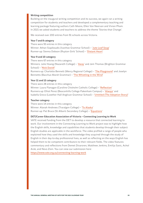# **Writing competition**

Building on the inaugural writing competition and its success, we again ran a writing competition for students and teachers and developed a complementary teaching and learning package featuring authors Cath Moore, Ellen Van Neervan and Vivian Pham. In 2021 we asked students and teachers to address the theme 'Stories that Change'.

We received over 200 entries from 91 schools across Victoria.

# **Year 7 and 8 category**

There were 93 entries in this category Winner: Athan Siapikoudis (Ivanhoe Grammar School) – '[Jute Leaf Soup](https://www.vate.org.au/file/3687/download?token=-Xa6YcWs)' Runner-up: Sienna Dobson (Ruyton Girls' School) – '[Distant Heart](https://www.vate.org.au/file/3696/download?token=A9Rifuhy)'

# **Year 9 and 10 category**

There were 67 entries in this category Winners: Julie Hoang (Nazareth College) – '[Away](https://www.vate.org.au/file/3689/download?token=xx_ajl1O)' and Jem Thomas (Brighton Grammar School) – '[Nick David!](https://www.vate.org.au/file/3688/download?token=wN5VLu2L)' Runners-up: Charlotte Bennett (Mercy Regional College) – '[The Playground](https://www.vate.org.au/file/3691/download?token=9HuIKYOz)' and Joselyn

Bennetts (Bacchus Marsh Grammar) – '[The Whistling in the Wind](https://www.vate.org.au/file/3694/download?token=Poyt8SfL)'

# **Year 11 and 12 category**

There were 28 entries in this category Winner: Laura Flanagan (Caroline Chisholm Catholic College) – '[Reflection](https://www.vate.org.au/file/3690/download?token=3ZBwW7TZ)' Runners-up: Elliot Perez (Beaconhills College Pakenham Campus) – '[Always](https://www.vate.org.au/file/3692/download?token=r6zrQTX6)' and Isabella Greco (Lowther Hall Anglican Grammar School) – '[Untitled \(The Adoption Story\)](https://www.vate.org.au/file/3693/download?token=jPbPHUsP)'

# **Teacher category**

There were 14 entries in this category Winner: Alanah Andrews (Traralgon College) – '[To Alaska](https://www.vate.org.au/file/3686/download?token=pe6sOrl2)' Runner-up: Pat Bruce (St Alban's Secondary College) – '[Equations](https://www.vate.org.au/file/3695/download?token=Rd1fcl7q)'

# **DET/Career Education Association of Victoria – Connecting Learning to Work**

VATE received funding from the DET to develop a resource that connected learning to work. Our involvement in the Connecting Learning to Work project was to highlight how the English skills, knowledge and capabilities that students develop through their subject English studies are applicable in the workforce. The video profiled a range of people who explained how they used the skills and knowledge they acquired through the study of English in their day-to-day professional lives, as well as reflecting on the ways English has helped them to be competent contributors to their relevant fields. The video features commentary and reflections from Demet Divaroren, Matthew Jenkins, Emilija Savic, Achol Arok, and Nevo Zisin. You can view our submission here:

<https://www.vate.org.au/connecting-learning-work>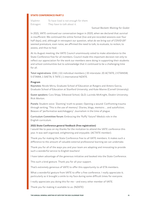# **STATE CONFERENCE PART 2**

Vladimir: To have lived is not enough for them. Estragon: They have to talk about it.

Samuel Beckett Waiting for Godot

In 2021, VATE continued our conversation begun in 2020, when we declared that survival is insufficient. We continued the online format (live and pre-recorded sessions over four half days), and, although in retrospect our question, what do we bring out of COVID-19? seemed premature, even naïve, we affirmed the need to talk, to evaluate, to reckon, to assess, and thus to heal.

At its August meeting, the VATE Council unanimously voted to make attendance to the State Conference free for all members. Council made this important decision not only to reflect our appreciation for the work our members were doing in supporting their students and school communities but to acknowledge that it continued to be a challenging time for all.

Total registrations: 1041 | 111 individual members | 33 interstate: 20 ACTATE; 2 ETANSW; 5 ETAWA; 1 SAETA; 5 TATE | 1 international NZATE.

#### **Program**

Keynotes: Nicole Mirra, Graduate School of Education at Rutgers and Antero Garcia, Graduate School of Education at Stanford University; and Kate Manne (Cornell University).

Guest speakers: Cara Shipp, Silkwood School, QLD; Lucinda McKnight, Deakin University; Rick Morton.

Panels: Student voice: 'Zooming' truth to power; Opening a wound: Confronting trauma through writing; 'This is the use of memory': Diaries, blogs, memoirs … and autofiction; Beware of 'performative watchdoggery': Journalism in the time of plague.

Curriculum Committee forum: Embracing the 'fluffy' future? Media's role in the English curriculum.

# **2021 State Conference general feedback (free registration)**

I would like to pass on my thanks for the invitation to attend the VATE conference this year. It was well organised, enlightening and enjoyable. (ACTATE member).

Thank you for making the State Conference free to all VATE members. It makes such a difference to the amount of valuable external professional learning we can undertake.

Thank you for all of the ways you and your team are adapting and innovating to provide such a wonderful service to English teachers!

I have taken advantage of the generous initiative and booked into the State Conference.

This such a kind gesture. Thank you for all your support.

That's extremely generous of VATE to offer this opportunity to all ETA members.

What a wonderful gesture from VATE to offer a free conference. I really appreciate it; particularly as it brought a smile to my face during some difficult times for everyone.

I really appreciate you doing this for me – and every other member of VATE.

Thank you for making it available to us. (NZATE)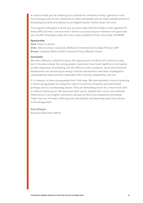A massive thank you for allowing me to attend the conference freely. I gained so much from having access to the community of ideas and people and am really looking forward to developing my skills and network as an English teacher further down the track.

The program looks great and the way you have organised the timing is most apposite for these difficult times. I am sure that it will be a success and your members will appreciate your flexible thinking to make this more easily available to them. (Eva Gold, ETANSW)

# **Sponsorship**

Gold: Poetry in Action

Silver: Allen & Unwin; Jacaranda; Melbourne International Comedy Festival; UQP Bronze: Complete Works; Flohh; Fremantle Press; Wheeler Centre

# **Conclusion**

We have suffered a collective trauma, the repercussions of which will continue to play out in the years ahead. Our young people in particular have faced significant interruption to their experience of schooling, and the effects on their academic, social and emotional development are continuing to emerge. Schools and teachers have been challenged in unprecedented ways and have responded with creativity, adaptability, and care.

It is, however, in these young people that I find hope. We have attained a time of reckoning in which young people are using their voices to confront inequality and entrenched privilege and its accompanying abuses. They are demanding action for a future built with an ethical infrastructure. We must hear their voices, amplify their voices, and celebrate these voices in our English classrooms, because as Nick Cave eloquently articulated, 'Hope rises out of known suffering and is the defiant and dissenting spark that refuses to be extinguished'.

# Kate Gillespie

Executive Education Officer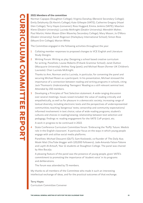# <span id="page-22-0"></span>**2021 Members of the committee**

Norman Capapas (Staughton College); Virginia Danahay (Berwick Secondary College); Emily Delahunty (St Kevin's College); Kate Gillespie (VATE); Catherine Gregory (Hazel Glen College); Terry Hayes (convener); Ross Huggard; Emma Jenkins (VATE); Maarten Klene (Deakin University); Lucinda McKnight (Deakin University); Meredith Maher; Paul Martin; Helen Mason (Glen Waverley Secondary College); Mary Mason; Jo O'Mara (Deakin University); Sarah Rogerson (Haileybury International School); Simon Ross (Mount Erin College); Marion White

The Committee engaged in the following activities throughout the year:

- 1 Collating member responses to proposed changes to VCE English and Literature Study Designs.
- 2 Writing Forum: Writing as play: Designing a school based creative curriculum for writing. Panellists: Louise Roberts (Firbank Grammar School); Janet Dutton (Macquarie University); Anthea Yang (poet); and Michael Rosen (former UK Children's Laureate). Chair Lucinda McKnight.

Thanks to Ann, Norman and to Lucinda, in particular, for convening the panel and securing Michael Rosen as a participant. In his presentation, Michael stressed the importance of a connection between reading and writing programs in schools, citing Jack Thomson's Understanding Teenagers' Reading as a still relevant seminal text. Attended by 150 members.

- 3 Developing a Principles of Text Selection statement. A wide-ranging discussion over several meetings. Issues raised included: the value of reading critically and empathetically, as well as for pleasure in a democratic society; increasing range of textual diversity, including electronic texts and the perspectives of underrepresented communities; teaching 'dangerous' texts; censorship and community expectations/ informed involvement in text choice; value of wide reading programs; student's cultures and choices in reading/viewing; relationship between text selection and pedagogy; findings re: reading engagement for the VATE CoP project, etc.
	- A work in progress to be continued in 2022.
- 4 State Conference Curriculum Committee forum: 'Embracing the 'fluffy' future. Media's role in the English classroom.' A particular focus on the ways in which young people engage with and utilise social media platforms.

Panellists: Michael Dezuanni (QUT); Sam Koslowski, co-founder of The Daily Aus; Maski Mati (YouTube blogger with 120,000 followers); Jade-Amanda Falzon-Tabone and Layth Al-Artoufi, Year 11 students at Staughton College. The panel was chaired by Alex Bacalja.

A pleasing feature of the panel was the presence of young people, given VATE's commitment to promoting the importance of 'student voice' in its programs and deliberations.

The forum was attended by 73 members.

My thanks to all members of the Committee who made it such an interesting intellectual exchange of ideas, and for the practical outcomes of that exchange.

Terry Hayes Curriculum Committee Convener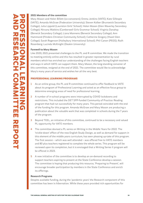# <span id="page-23-0"></span>**2021 Members of the committee**

Mary Mason and Helen Billett (co-conveners); Emma Jenkins (VATE); Kate Gillespie (VATE); Amanda McGraw (Federation University); Steven Kolber (Brunswick Secondary College); Julia Lippold (Lauriston Girls' School); Helen Mason (Glen Waverley Secondary College); Nirvana Watkins (Camberwell Girls Grammar School); Virginia Danahay (Berwick Secondary College); Liana Mannens (Berwick Secondary College); Ann Hammond (Flinders Christian Community School); Catherine Gregory (Hazel Glen College); Sarah Rogerson (Haileybury International School); Phil Canon (PEGS); Ruth Rosenberg; Lucinda McKnight (Deakin University)

# **Farewell to Mary Mason**

Like 2020, 2021 presented challenges to the PL and R committee. We made the transition to meeting entirely online and this has resulted in greater representation by rural members which has enriched our understanding of the challenges facing English teachers and ways in which VATE can support them. Mary Mason, the long-standing convener of this committee, resigned at the end of 2021. The committee would like to acknowledge Mary's many years of service and wishes her all the very best.

# **PROFESSIONAL LEARNING PROGRAMS**

- 1 As an online group, the PL and R committee continued to offer feedback to VATE about its program of Professional Learning and acted as an effective focus group to determine emerging areas of need for professional learning.
- 2 A number of in-school programs were interrupted by COVID lockdowns and restrictions. This included the DET SPP-funded Community of Practice: Reading program that had run successfully for many years. This period coincided with the end of the funding for this program. Amanda McGraw and Mary Mason are producing a publication about the valuable work that was completed in schools during the 7 years of the program.
- 3 Beyond TEEL, an initiative of this committee, continued to be a necessary and valued PL opportunity for VATE members.
- 4 The committee devised a PL series on Writing in the Middle Years for 2022. The 'trickle-down' effect of the new English Study Design, as well as demand for support in this element of the middle years curriculum, has seen pleasing up-take of this program. The first session – which was well attended – was offered free to VATE members and 80 plus teachers registered to complete the whole series. This program will be reviewed upon its completion, but it is envisaged that a Writing Series II program will be offered in 2023.
- 5 A new initiative of the committee is to develop an on-demand recording to support teachers aspiring to present at the State Conference develop a session. The committee is hoping that producing this resource, 'Preparing to Present', will encourage broader participation by members in the State Conference and enrich its offerings.

# **Research Programs**

Despite available funding, during the 'pandemic years' the Research component of this committee has been in hibernation. While these years provided rich opportunities for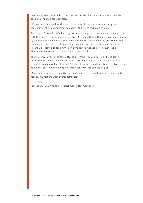research, the demands on both teachers and academics were onerous and precluded people taking on 'extra' activities.

Life has been injected into this important facet of the committee's work by the contribution of two committee members with links to tertiary providers.

Amanda McGraw will be facilitating a review of the grant process and documentation with the view of creating a more 'user-friendly' model that both encourages participation by removing onerous hurdles and allows VATE more control over the direction of the research so that it can be of more immediate and practical use for members. As well, Amanda is leading a subcommittee on developing a Collaborative Inquiry Project. This will be developed and implemented during 2022.

The final way in which the committee is 'bring the R back into P L and R' is being facilitated by committee member Lucinda McKnight. Lucinda, in conjunction with Deakin University, will be offering VATE members the opportunity to attend two sessions, at minimal cost, which will outline current research into subject English.

Many thanks to all the committee members and to Kate and Emma who continue to actively support the work of this committee.

# Helen Billett

Professional Learning and Research Committee Convener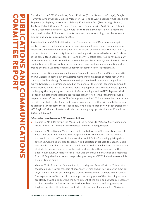<span id="page-25-0"></span>On behalf of the 2021 Committee, Emma Enticott (Foster Secondary College), Deaglan Harney (Seymour College), Brooke Middleton (Springside West Secondary College), Sarah Rogerson (Haileybury International School), Kristian Radford (Preston High School), Jan May (Firbank Grammar School), Terry Hayes, Emma Jenkins (VATE), Kate Gillespie (VATE), Josephine Smith (VATE), I would like to thank our wonderful VATE members who, amid another difficult year of lockdowns and remote teaching, contributed to our publications and resources during 2021.

Josephine Smith, VATE's Publications and Communications Officer, was once again pivotal to overseeing the output of print and digital publications and communications made available to members throughout Victoria – and beyond. As was the case in 2020, the importance of connectivity, interaction and support continued to be at the forefront of the committee's activities. Josephine and the VATE office team had to navigate many tasks remotely and work around lockdown challenges. For example, special permits were needed to attend the office to process, pack and send print sample examination orders around the state at a time when mail deliveries themselves were problematic.

Committee meetings were conducted over Zoom in February, April and September 2021 and we welcomed some new, enthusiastic members from a range of metropolitan and country schools. Although face-to-face meetings are missed, communicating online has many advantages. Discussions focused on the needs of the English teaching community in the present and future. As it became increasing apparent that the year would again be challenging, the frequency and content of eBulletins, Agile and VATE Village was vital. Feedback indicated that teachers appreciated ideas to inspire their teaching as well as keeping abreast of the latest VATE offerings. As noted in 2020, more teachers felt inclined to write contributions for Idiom and share resources, a trend that will hopefully continue as teacher inter-connectedness reaches new levels. The release of new Study Designs for VCE English/EAL and Literature will also provide ongoing opportunities for Committee discussion in 2022.

# **Idiom – the three issues for 2021 were as follows:**

- a Volume 57 No 1: Removing the Mask edited by Amanda McGraw, Mary Mason and David Lee (VATE Community of Practice: Teaching Reading Project.)
- b Volume 57 No 2: Diverse Voices in English edited by the VATE Education Team of Kate Gillespie, Emma Jenkins and Josephine Smith. The edition focused on texts that could be used in Years 7-11 and consider which 'voices' are being privileged and amplified. Contributions also focused on text selection in schools, the need to audit text lists for conscious and unconscious biases as well as emphasising the importance of students seeing themselves in the texts and literature they encounter in the English curriculum. A feature of this issue was the inclusion of articles and resources from US English educators who responded positively to VATE's invitation to republish their writing in Idiom.
- c Volume 57 No 3: Starting Out edited by Jan May and Emma Enticott. This edition focused on early career teachers of secondary English and, in particular, the practical ways in which we can better support aspiring and beginning teachers in our schools. The experiences of teachers in these important early years of their teaching careers are clearly crucial in supporting the development of the skills and strategies necessary to give them the confidence and inspiration to keep teaching and progressing as English educators. The edition was divided into sections: I am a teacher; Navigating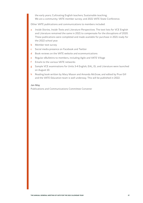the early years; Cultivating English teachers; Sustainable teaching; We are a community; VATE member survey; and 2021 VATE State Conference.

Other VATE publications and communications to members included:

- a Inside Stories, Inside Texts and Literature Perspectives. The text lists for VCE English and Literature remained the same in 2021 to compensate for the disruptions of 2020. These publications were completed and made available for purchase in 2021 ready for the 2022 school year.
- **b** Member text survey
- c Social media presence on Facebook and Twitter
- d Book reviews on the VATE website and ecommunications
- e Regular eBulletins to members, including Agile and VATE Village
- f Emails to the various VATE networks
- g Sample VCE examinations for Units 3-4 English, EAL, EL and Literature were launched on August 10.
- h Reading book written by Mary Mason and Amanda McGraw, and edited by Prue Gill and the VATE Education team is well underway. This will be published in 2022.

#### Jan May

Publications and Communications Committee Convener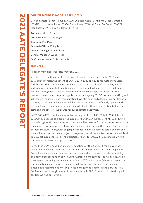# <span id="page-27-0"></span>**COUNCIL MEMBERS (AS OF 14 APRIL, 2022)**

ETA delegates: Rachael Radvanyi (ACATE); Susan Gazis (ETANSW); Bruce Cameron (ETANT); Lindsay Williams (ETAQ); Claire Jones (ETAWA); Sarah McDonald (SAETA); Alex Bacalja (VATE); Daniel Howard (TATE).

President: Alison Robertson President-elect: Karen Yager Treasurer: Phil Page Research Officer: Philip Mead Commissioning Editor: Erika Boas General Manager: Wendy Rush English in Australia Editor: Kellie McGraw

# **FINANCES**

As taken from Treasurer's Report (Oct, 2021)

'Additional to the financial shortfalls and difficulties experienced in the 2018 and 2019 calendar years, the advent of COVID-19 in 2020 and 2021 has further impacted AATE's operations, not only by curtailing some of the association's activities, but also, and somewhat ironically, by containing some costs. Federal and state financial support packages, along with ATO tax credits have offset considerably the impacts of the pandemic on our operations. Alongside these, the ongoing 2020/21 review of staffing and subsequent reductions and reorganization have also contributed to our current financial position, to the point whereby we will be able to continue to confidently operate with ongoing financial health into the years ahead, albeit with careful attention to both our costs and the amounts we charge for our contracted activities.

In 2020/21 AATE recorded an overall operating surplus of \$86,163 (a \$17,831 deficit in 2019/20) as opposed to a projected surplus of \$14,447, an increase of \$71,716 or 496.4% on the budgeted figure – a substantial increase. The reasons for this major turnaround are complex and are summarized above and expanded upon later in this report. The outcomes of these measures, along with ongoing consolidation of our staffing establishment and some minor expansion in our project management activities and fees for service, will lead to a budget surplus (break-even) projection of \$847 for 2021/22 – a satisfactory figure considering all the recent ups and downs.

Beyond the COVID subsidies and staff reductions of the 2020/21 financial year, other operations which positively impacted our bottom line were the constraints applied to Council and employment expenses, increasing rental income and the relative stability of income from association and Reading Australia management fees. On the downside, there was a continuing decline in sales of non AATE publications (whilst our own material continued to increase in sales' numbers), a decrease in affiliation fee income and a plateauing/bottoming out of total project management income. In addition, the IFTE Conference profit margin was still a very respectable \$8,515, contributing to the good position we find ourselves in.'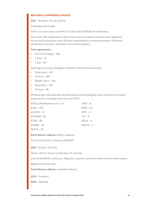# **NATIONAL CONFERENCE UPDATE**

2021 – Brisbane 7-9 July (online)

Challenge and Change

AATE was contracted as the PCO for the 2021 AATE/ALEA conference.

There were 461 registrations, 158 of these were accepted presenters who registered via the special presenter rate. 69 were complimentary, including sponsors, exhibitors, scholarship recipients, volunteers and invited speakers.

# Total registrations:

- **–** Full time (3 days) 423
- **–** 2 Days 8
- **–** 1 Day 30

Teaching Area (many Delegates selected multiple teaching areas):

- **–** Early years 121
- **–** Primary 184
- **–** Middle Years 124
- **–** Secondary 255
- **–** Tertiary 59

Of those who indicated Membership status (some delegates were members of multiple organisations, including more than one ETA):

| AATE (Life Members only) - 8 | $TATE - 8$   |
|------------------------------|--------------|
| $ALEA - 170$                 | $VATE - 31$  |
| $ACTATE - 17$                | $I$ FTE $-2$ |
| $ETANSW - 32$                | $II A - 5$   |
| $ETAQ - 66$                  | $NZI A - 4$  |
| $ETAWA - 16$                 | $NZATA - 2$  |

SAETA – 19

Garth Boomer address: Melitta Hogarth

Total income from conference: \$72,000

2022 – Darwin, 7-10 July

Hearts, Minds, Stories: Landscapes of Learning

Joint ALEA/AATE conference. Majority in-person conference with minimal online events.

Registrations now open

Garth Boomer address: Jacqueline Manual

2023 – Canberra

2024 – Adelaide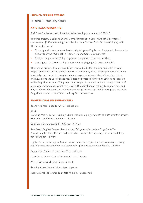# **LIFE MEMBERSHIP AWARDS**

Associate Professor Ray Misson

# **AATE RESEARCH GRANTS**

AATE has funded two small teacher-led research projects across 2022-23.

The first project, 'Exploring Digital Game Narratives in Senior English Classrooms', has received \$1500 in funding and is led by Mark Clutton from Erindale College, ACT. The project aims to:

- **–** Co-design with an academic leader a digital game English curriculum which meets the demands of the ACT English Framework and Course Documents.
- **–** Explore the potential of digital games to support critical perspectives.
- **–** Investigate the forms of play involved in studying digital games in English.

The second project, 'Story Ground', has received \$1500 in funding and is led by Andi Stapp-Gaunt and Rosita Randle from Erindale College, ACT. This project asks what new knowledge is generated through students' engagement with Story Ground practices, and how might the use of these modalities and protocols inform teaching and learning in the English classroom. The project aims to gather qualitative data through the use of a storying methodology which aligns with 'Dialogical Sensemaking' to explore how and why students who are often reluctant to engage in language and literacy practices in the English classroom have efficacy in Story Ground sessions.

# **PROFESSIONAL LEARNING EVENTS**

Zoom webinars linked to AATE Publications

# **2021**

Creating Micro Stories Teaching Micro Fiction: Helping students to craft effective stories: Erika Boas and Emma Jenkins – 4 March

Yield Teaching poetry: Kelli McGraw – 28 April

The Artful English Teacher Session 1: 'Artful approaches to teaching English' – A workshop for Early Career English teachers looking for engaging ways to teach high school English – 5 May

Digital Games: Literacy in Action – A workshop for English teachers who wish to bring digital games into the English classroom for play and study: Alex Bacalja – 18 May

Beyond the Dark online session: 17 participants

Creating a Digital Games classroom: 12 participants

Micro Stories workshop: 22 participants

Reading Australia workshop: 9 participants

International Fellowship Tour, Jeff Wilhelm – postponed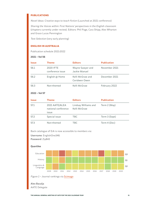# **PUBLICATIONS**

Novel Ideas: Creative ways to teach fiction (Launched at 2021 conference)

Sharing the Voices within: First Nations' perspectives in the English classroom (chapters currently under review). Editors: Phil Page, Cara Shipp, Alex Wharton and Grace Lucas Pennington

Text Selection (very early planning)

# **ENGLISH IN AUSTRALIA**

Publication schedule 2021-2022

# **2021 – Vol 56**

| <b>Issue</b> | Theme                         | <b>Editors</b>                    | <b>Publication</b> |
|--------------|-------------------------------|-----------------------------------|--------------------|
| 56.1         | 2020 IFTE<br>conference issue | Wayne Sawyer and<br>Jackie Manuel | November 2021      |
| 56.2         | English @ Home                | Kelli McGraw and<br>Ceridwen Owen | December 2021      |
| 56.3         | Non-themed                    | Kelli McGraw                      | February 2022      |

# **2022 – Vol 57**

| <b>Issue</b> | Theme                                                 | <b>Editors</b>                       | <b>Publication</b> |
|--------------|-------------------------------------------------------|--------------------------------------|--------------------|
| 57.1         | 2021 AATE/ALEA<br>national conference<br><i>issue</i> | Lindsay Williams and<br>Kelli McGraw | Term 2 (May)       |
| 57.2         | Special issue                                         | TBC.                                 | Term 3 (Sept)      |
| 57.3         | Non-themed                                            | TBC.                                 | Term 4 (Dec)       |

Back catalogue of EiA is now accessible to members via:

Username: EnglishOne346:

Password: Zip843

# **Quartiles**





Alex Bacalja AATE Delegate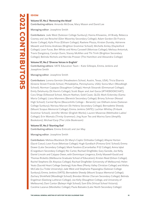# <span id="page-31-0"></span>**IDIOM**

# **Volume 57, No.1 'Removing the Mask'**

Contributing editors: Amanda McGraw, Mary Mason and David Lee

Managing editor: Josephine Smith

Contributors: Jade West (Salesian College Sunbury); Hanna Khoweiss, Jill Brady, Rebecca Cooney and Joe Reischel (Glen Waverley Secondary College); Adam Gordon (St Francis Xavier College); Kylie Price (Eltham College); Raelene Plozza, Kirsten Dunsby, Adrienne Mewett and Emma Andrews (Brighton Grammar School); Michelle Ainley (Daylesford College); Leon Furze, Ben White and Nima Carswell (Monivae College); Melissa Antoniuk, Travis Dangstorp, Carolyn Dunn, Stacey McAllen and Thi Trinh (Brighton Secondary College); Belinda Nichols and Nerrida Prosser (The Hamilton and Alexandra College)

# **Volume 57, No.2 'Diverse Voices in English'**

Contributing editors: VATE Education Team – Kate Gillespie, Emma Jenkins and Josephine Smith

Managing editor: Josephine Smith

Contributors: Lorena Germán (Headwaters School, Austin, Texas, USA); Tricia Ebarvia (Greene Street Friends School, Philadelphia, Pennsylvania, USA); Sonia Murr (Woodleigh School); Norman Capapas (Staughton College); Henryk Slosarski (Emmanuel College); Emily Delahunty (St Kevin's College); Scott Bayer and Joel Garza (#THEBOOKCHAT); Cara Shipp (Silkwood School, Mount Nathan, Gold Coast, QLD); Mark Eckersley (Santa Maria College); Liana Mannens (Berwick Secondary College); Briony Schroor (Nossal High School); Carmel Byrne (Beaconhills College – Berwick); Lee Oldham-Jones (Salesian College Sunbury); Nerissa Marcon (St Helena Secondary College); Bernadette Sheedy (Mount Scopus Memorial College); Emma Jenkins (VATE); Lachlan Whitley (Firbank Grammar School); Jennifer Minter (English Works); Lauren Maserow (Methodist Ladies' College); Erin Wamala (Trinity Grammar); Jing Xuan Teo and Marina Sano (Amplify Bookstore); Michael Earp (The Little Bookroom)

# **Volume 57, No.3 'Starting Out'**

Contributing editors: Emma Enticott and Jan May

Managing editor: Josephine Smith

Contributors: Melissa Blacklock (St Mary's Coptic Orthodox College); Allayne Horton (Sacré Coeur); Leon Furze (Monivae College); Hugh Gundlach (Fintona Girls' School); Emma Dower (Lalor Secondary College); Mark Favaloro (Carranballac P-12 College); Amna Iqbal (Craigieburn Secondary College); Nic Carter, Rachael Dingfelder, Gary Garside, Joe Kelly, Daniel Lincoln and Calypso Owen, with Dominique Limgenco, Emily Maxwell-Gould and Thomas Ricketts (Melbourne Graduate School of Education); Kirsten Reed (Gilson College); Rachel Stephens (St Aloysius College); Rachael Dingfelder (University of Melbourne); Helen Yeats (Sacréd Heart College Geelong); Kate Rees (Plenty Valley Christian College) and Alisha McCabe (La Trobe University); Jade West and Stephanie Papazoglou (Salesian College Sunbury); Emma Jenkins (VATE); Bernadette Sheedy (Mount Scopus Memorial College); Zachary Shinkfield (Woodleigh School); Brendan Winter (Yarram Secondary College); Belinda Engelman (Geelong Lutheran College); Joe Kelly (Staughton College, and University of Melbourne); Dani Cantor (Balwyn High School); Sam Ellis (Virtual School Victoria); Caroline Lazarus (Mordialloc College); Paula Batsakis (Lalor North Secondary College)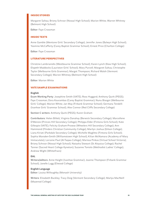# **INSIDE STORIES**

Margaret Saltau; Briony Schroor (Nossal High School); Marion White; Warren Whitney (Belmont High School)

Editor: Faye Crossman

# **INSIDE TEXTS**

Anne Gamble (Mentone Girls' Secondary College); Jennifer Jones (Balwyn High School); Yasmine McCafferty (Carey Baptist Grammar School); Ernest Price (Charlton College)

Editor: Faye Crossman

# **LITERATURE PERSPECTIVES**

Christine Lambrianidis (Westbourne Grammar School); Karen Lynch (Kew High School); Elspeth Maddocks (Lauriston Girls' School); Mary Purcell; Margaret Saltau; Christophe Taylor (Melbourne Girls Grammar); Margot Thompson; Richard Walsh (Vermont Secondary College); Warren Whitney (Belmont High School)

Editor: Marion White

# **VATE SAMPLE EXAMINATIONS**

#### **English**

Exam Working Party: Josephine Smith (VATE); Ross Huggard; Anthony Quirk (PEGS); Faye Crossman; Dora Kourambas (Carey Baptist Grammar); Nunu Bisogni (Melbourne Girls' College); Marion White; Jan May (Firbank Grammar School); Germana Tendelli (Ivanhoe Girls' Grammar School); Alex Connor (Red Cliffs Secondary College)

Section C writers: Anthony Quirk (PEGS); Karen Graham

Contributors: Helen Billett; Virginia Danahay (Berwick Secondary College); Marcellene D'Menzie (Princes Hill Secondary College); Philippa Elder (Fintona Girls School); Kate Gillespie (VATE); Felicity Graham-Prowse (Wheelers Hill Secondary College); Ann Hammond (Flinders Christian Community College); Marilyn Joshua (Gilson College); Liana Kiriati (Parkdale Secondary College); Michelle Maglitto (Fintona Girls School); Sophia Marsden-Smith (Williamstown High School); Kilian McNamara (Academy of Mary Immaculate); Lorraine Paul (Al-Taqwa College); Marissa Pinkas (Virtual School Victoria); Briony Schroor (Nossal High School); Natasha Stewart (St Aloysius College); Rachel Tanner (Sacred Heart College Kyneton); Suzanne Toniolo (Methodist Ladies' College); Andrew Wight (Whitefriars)

#### **EAL**

Writers/editors: Anne Height (Ivanhoe Grammar); Joanne Thompson (Firbank Grammar School); Janelle Lugg (Elwood College)

# **English Language**

Editor: Louisa Willoughby (Monash University)

Writers: Elizabeth Buckley; Tracy Doig (Vermont Secondary College); Marlya MacNeill (Mazenod College)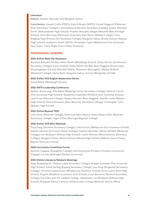# **Literature**

Editors: Heather Maunder and Margaret Saltau

Contributors: Joseph Crofts (PEGS); Kate Gillespie (VATE); Carmel Huggard (Patterson River Secondary College); Liana Mannens (Berwick Secondary College); Sophia Marsden-Smith (Williamstown High School); Heather Maunder; Megan Metcalfe (Box Hill High School); John Morrissey (Peninsula Grammar); Paul Munn (Wesley College); Clare Ridgway-Faye (Princes Hill Secondary College); Margaret Saltau; Briony Schroor (Nossal High School); Josephine Smith (VATE); Christophe Taylor (Melbourne Girls Grammar); Sara Taylor; Claire Wight (Yarra Valley Grammar)

# **PROFESSIONAL LEARNING**

# **2021 Online Meet the Assessors**

Annelise Balsamo (VCAA); Helen Billett (Woodleigh School); Selina Dennis (Strathmore Secondary College); Karen Graham; Kellie Heintz (VCAA); Ross Huggard; Marta Lopez (Huntingtower School); Meredith Maher; Rosemary McLoughlin; Marlya McNeill (Mazenod College); Glynis Rose; Margaret Saltau; Simona Wengritzky (VCAA)

# **2021 Online VCE English Moderation Series**

Helen Billett (Woodleigh School)

# **2021 VATE Leadership Conference**

Nathan Armstrong; Allie Baker (Wodonga Senior Secondary College); Melanie Carroll (The University High School); Madeleine Coulombe (Shelford Girls' Grammar School); Leon Furze (Monivae College); Hayley Harrison; Ross Huggard; Jennifer Jones (Balwyn High School); Hanna Khoweiss (Glen Waverley Secondary College); Christopher Land (Balwyn High School)

### **2021 Online Beyond TEEL**

Leon Furze (Monivae College); David Lee; Mary Mason; Helen Mason (Glen Waverley Secondary College); Tegan O'Dea (Warragul Regional College)

#### **2021 Online VCE Mini-Methods**

Tracy Doig (Vermont Secondary College); Luke Francis (Melbourne Girls Grammar School); Natalie Gleeson (St Francis Xavier College); Heather Maunder; Marlya McNeill (Mazenod College); Lee McQueen (Eltham High School); Caitlin Penrose (Montmorency Secondary College); Margaret Saltau; Briony Schroor (Nossal High School); Rebecca Swain (Carey Baptist Grammar School)

# **2021 Curriculum Committee Forum**

Norman Capapas (Staughton College); Ann Hammond (Flinders Christian Community College); Lucinda McKnight (Deakin University)

# **2021 Online Literature Network Meetings**

Peter Budisavljevic (Taylors Lakes Secondary College); Bridget Costelloe (The University High School); Sarah Darling (Epping Secondary College); Lara King (Ringwood Secondary College); Christine Lambrianidis (Westbourne Grammar School); Karen Lynch (Kew High School); Elspeth Maddocks (Lauriston Girls School); Liana Mannens (Berwick Secondary College); Kate McLaren (St Joseph's College - Newtown); Lee McQueen (Eltham High School); Margaret Saltau; Cameron Smith (Loreto College Ballarat); Marion White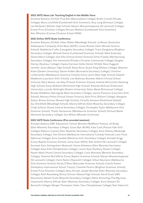# **2021 VATE Ideas Lab: Teaching English in the Middle Years**

Annelise Balsamo (VCAA); Prue Bon (Mooroolbark College); Bridie Connell (Parade College); Maria Litchfield (Camberwell Girls Grammar); Amy Long (Emmaus College); Lee McQueen (Eltham High School); Marjan Mossammaparast (St Leonard's College); Ernest Price (Charlton College); Nirvana Watkins (Camberwell Girls Grammar); Alex Wharton (Carinya Christian School NSW)

# **2021 Online VATE State Conference**

Annelise Balsamo (VCAA); Helen Billett (Woodleigh School); Jo Bloom (Australian Shakespeare Company); Erika Boas (AATE); Louise Bourke (John Monash Science School); Madeleine Crofts (Leongatha Secondary College); Travis Dangstorp (Brighton Secondary College); Michael Daniel (Camberwell Grammar School); Mark Eckersley (Santa Maria College); Sam Ellis (Virtual School Victoria); Emily Frawley (Maribyrnong Secondary College); Ann Hammond (Flinders Christian Community College); Deaglan Harney (Seymour College); Hayley Harrison; Kellie Heintz (VCAA); Ross Huggard; Jennifer Jones (Balwyn High School); Rosie Kerin; Stuart King (Eltham College); Maarten Klene (Deakin University); Steven Kolber (Brunswick Secondary College); Christine Lambrianidis (Westbourne Grammar School); Karen Lynch (Kew High School); Elspeth Maddocks (Lauriston Girls' School); Lisa Maloney; Bronwen Martin (Virtual School Victoria); Mary Mason; Jan May (Firbank Grammar School); Andrew McConchie (Geelong High School); Karys McEwen (Richmond High School); Amanda McGraw (Federation University); Lucinda McKnight (Deakin University); Dylan Mead (Emmanuel College); Brooke Middleton (Springside West Secondary College); Joanna Piavanini (Lauriston Girls' School); Marissa Pinkas (Virtual School Victoria); Kylie Price (Eltham College); Margaret Saltau; Briony Schroor (Nossal High School); Chrisella Sentana (OneSchool Global); Zac Shinkfield (Woodleigh School); Marina Slifirski (Glen Waverley Secondary College); Cindy Sullivan (Hume Central Secondary College); Christophe Taylor (Melbourne Girls Grammar School); Thuthi Vartazarian (Westbourne Grammar School); Richard Walsh (Vermont Secondary College); Sue Wilson (Monash University)

# **2021 VATE State Conference (Pre-recorded sessions)**

Annabel Astbury (ABC Education); Tamryn Bennett (RedRoom Poetry); Jill Brady (Glen Waverley Secondary College); Susan Bye (ACMI); Kate Cash (Pascoe Vale Girls' College); Rebecca Cooney (Glen Waverley Secondary College); Anne Dalmau (Roxburgh Secondary College); Tom Dickins (Melbourne International Comedy Festival); Leon Furze (Monivae College); Anne Gamble (Mentone Girls' Secondary College); Annabel Grigg (Carey Baptist Grammar School); Jenny Isaac (NGV); Rob Jenkins (St Leonard's College); Gurmeet Kaur (Immigration Museum); Hanna Khoweiss (Glen Waverley Secondary College); Zoya Kitik (Templestowe College); Lauren Kyte (Sunbury Downs College); Naomi Maes (Hume Central Secondary College); Liana Mannens (Berwick Secondary College); Yasmine McCafferty (Carey Baptist Grammar School); Marjan Mossammaparast (St Leonard's College); Claire Nailon (Nazareth College); Gillian Neumann (Melbourne Girls Grammar School); Nicola O'Shea (Balcombe Grammar School); Charlie Parkes (Haileybury International School Tianjin); Chenelle Pereira (Brighton Grammar School); Ernest Price (Charlton College); Mary Purcell; Joseph Reischel (Glen Waverley Secondary College); Ruth Rosenberg; Briony Schroor (Nossal High School); Astrid Scott (ABC Education); Natalie Scott (Rowville Secondary College); Netta Shmerling (The Big Issue Classroom); Marina Slifirski (Glen Waverley Secondary College); Anna Stewart (St Bernard's College); Margot Thompson; Helen Toon (Templestowe College); Rani Valencich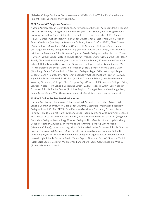(Salesian College Sunbury); Garry Westmore (ACMI); Marion White; Fabrice Wilmann (Insight Publications); Ingrid Wood (NGV)

#### **2021 Online VCE Englishes Sessions**

Nathan Armstrong; Jan Bailey (Ivanhoe Girls' Grammar School); Kate Blandford (Hoppers Crossing Secondary College); Joanna Boer (Ruyton Girls' School); Elyse Borg (Hoppers Crossing Secondary College); Elizabeth Campbell (Fitzroy High School); Phil Canon (PEGS); Danielle Cantor (Balwyn High School); Kate Cash (Pascoe Vale Girls' College); Emma Catchpole (Wellington Secondary College); Joseph Crofts (PEGS); Clare Crowe (Avila College); Marcellene D'Menzie (Princes Hill Secondary College); Anne Dalmau (Roxburgh Secondary College); Tracy Doig (Vermont Secondary College); Sam Florence (McKinnon Secondary School); James Fogarty (Parade College); Hayley Harrison; Trevor Harrison (Virtual School Victoria); Linda Hogan (Mentone Girls' Grammar School); Jason Jewell; Christine Lambrianidis (Westbourne Grammar School); Karen Lynch (Kew High School); Helen Mason (Glen Waverley Secondary College); Heather Maunder; Jan May (Firbank Grammar School); Chrissie McMahon (Virtual School Victoria); Sonia Murr (Woodleigh School); Claire Nailon (Nazareth College); Tegan O'Dea (Warragul Regional College); Caitlin Penrose (Montmorency Secondary College); Graham Preston (Balwyn High School); Mary Purcell; Prithi Rao (Ivanhoe Grammar School); Joe Reischel (Glen Waverley Secondary College); Clare Ridgway-Faye (Princes Hill Secondary College); Briony Schroor (Nossal High School); Josephine Smith (VATE); Rebecca Swain (Carey Baptist Grammar School); Rachel Towns (St John's Regional College); Melanie Van Langenberg (Sacré Cœur); Claire Warr (Kingswood College); Daniel Wightman (Scotch College)

#### **2021 VCE Online Student Revision Lectures**

Nathan Armstrong; Charles Ayre (Blackburn High School); Helen Billett (Woodleigh School); Joanna Boer (Ruyton Girls' School); Emma Catchpole (Wellington Secondary College); Joseph Crofts (PEGS); Sam Florence (McKinnon Secondary School); James Fogarty (Parade College); Karen Graham; Linda Hogan (Mentone Girls' Grammar School); Ross Huggard; Jason Jewell; Angela Keam (Loreto Mandeville Hall); Lara King (Ringwood Secondary College); Janelle Lugg (Elwood College); Tim Mannix (Mount Lilydale Mercy College); Heather Maunder; Jan May (Firbank Grammar School); Marlya McNeill (Mazenod College); John Morrissey; Nicola O'Shea (Balcombe Grammar School); Graham Preston (Balwyn High School); Mary Purcell; Prithi Rao (Ivanhoe Grammar School); Clare Ridgway-Faye (Princes Hill Secondary College); Margaret Saltau; Briony Schroor (Nossal High School); Rebecca Swain (Carey Baptist Grammar School); Suzanne Toniolo (Methodist Ladies' College); Melanie Van Langenberg (Sacré Cœur); Lachlan Whitley (Firbank Grammar School)